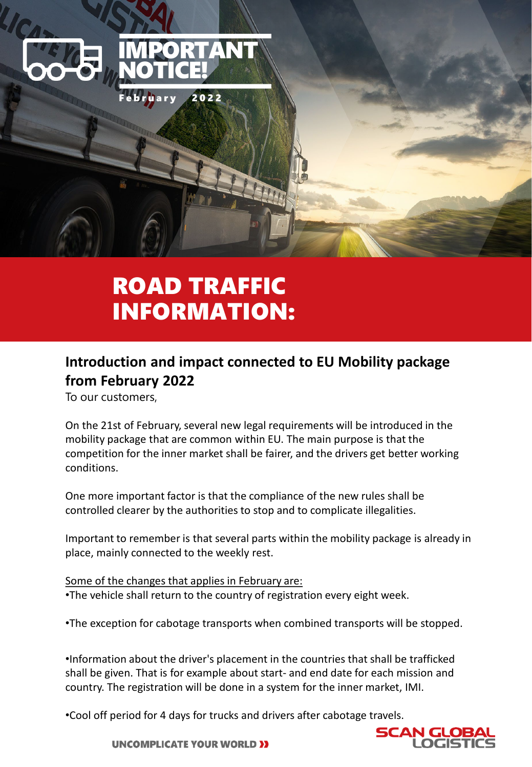

# ROAD TRAFFIC INFORMATION:

### **Introduction and impact connected to EU Mobility package from February 2022**

To our customers,

On the 21st of February, several new legal requirements will be introduced in the mobility package that are common within EU. The main purpose is that the competition for the inner market shall be fairer, and the drivers get better working conditions.

One more important factor is that the compliance of the new rules shall be controlled clearer by the authorities to stop and to complicate illegalities.

Important to remember is that several parts within the mobility package is already in place, mainly connected to the weekly rest.

Some of the changes that applies in February are: •The vehicle shall return to the country of registration every eight week.

•The exception for cabotage transports when combined transports will be stopped.

•Information about the driver's placement in the countries that shall be trafficked shall be given. That is for example about start- and end date for each mission and country. The registration will be done in a system for the inner market, IMI.

•Cool off period for 4 days for trucks and drivers after cabotage travels.



**UNCOMPLICATE YOUR WORLD >>**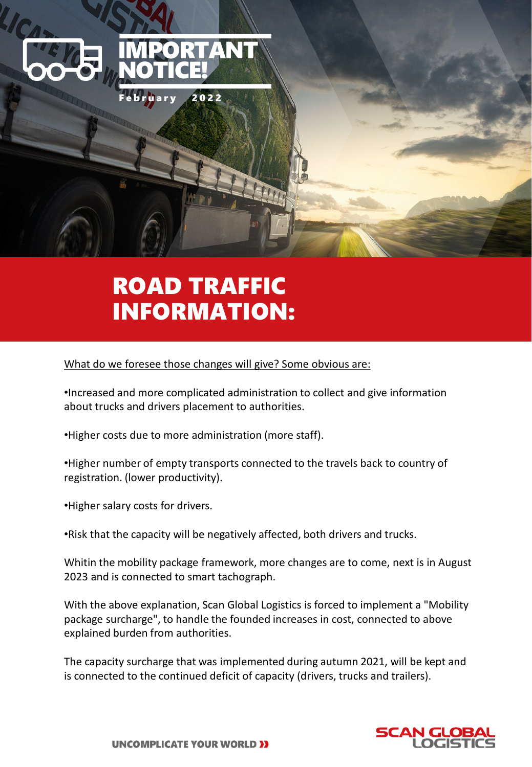

## ROAD TRAFFIC INFORMATION:

#### What do we foresee those changes will give? Some obvious are:

•Increased and more complicated administration to collect and give information about trucks and drivers placement to authorities.

•Higher costs due to more administration (more staff).

•Higher number of empty transports connected to the travels back to country of registration. (lower productivity).

•Higher salary costs for drivers.

•Risk that the capacity will be negatively affected, both drivers and trucks.

Whitin the mobility package framework, more changes are to come, next is in August 2023 and is connected to smart tachograph.

With the above explanation, Scan Global Logistics is forced to implement a "Mobility package surcharge", to handle the founded increases in cost, connected to above explained burden from authorities.

The capacity surcharge that was implemented during autumn 2021, will be kept and is connected to the continued deficit of capacity (drivers, trucks and trailers).